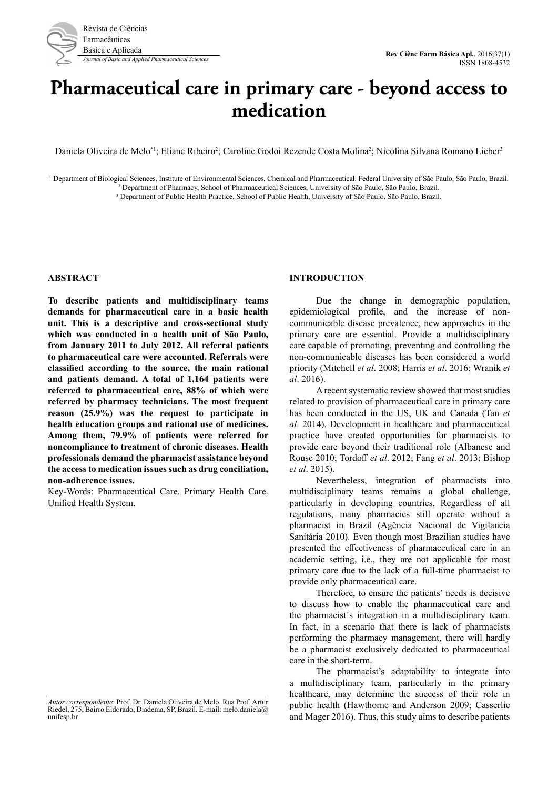

# **Pharmaceutical care in primary care - beyond access to medication**

Daniela Oliveira de Melo<sup>\*1</sup>; Eliane Ribeiro<sup>2</sup>; Caroline Godoi Rezende Costa Molina<sup>2</sup>; Nicolina Silvana Romano Lieber<sup>3</sup>

<sup>1</sup> Department of Biological Sciences, Institute of Environmental Sciences, Chemical and Pharmaceutical. Federal University of São Paulo, São Paulo, Brazil. 2 Department of Pharmacy, School of Pharmaceutical Sciences, University of São Paulo, São Paulo, Brazil.

3 Department of Public Health Practice, School of Public Health, University of São Paulo, São Paulo, Brazil.

#### **ABSTRACT**

**To describe patients and multidisciplinary teams demands for pharmaceutical care in a basic health unit. This is a descriptive and cross-sectional study which was conducted in a health unit of São Paulo, from January 2011 to July 2012. All referral patients to pharmaceutical care were accounted. Referrals were classified according to the source, the main rational and patients demand. A total of 1,164 patients were referred to pharmaceutical care, 88% of which were referred by pharmacy technicians. The most frequent reason (25.9%) was the request to participate in health education groups and rational use of medicines. Among them, 79.9% of patients were referred for noncompliance to treatment of chronic diseases. Health professionals demand the pharmacist assistance beyond the access to medication issues such as drug conciliation, non-adherence issues.**

Key-Words: Pharmaceutical Care. Primary Health Care. Unified Health System.

#### **INTRODUCTION**

Due the change in demographic population, epidemiological profile, and the increase of noncommunicable disease prevalence, new approaches in the primary care are essential. Provide a multidisciplinary care capable of promoting, preventing and controlling the non-communicable diseases has been considered a world priority (Mitchell *et al*. 2008; Harris *et al*. 2016; Wranik *et al*. 2016).

A recent systematic review showed that most studies related to provision of pharmaceutical care in primary care has been conducted in the US, UK and Canada (Tan *et al*. 2014). Development in healthcare and pharmaceutical practice have created opportunities for pharmacists to provide care beyond their traditional role (Albanese and Rouse 2010; Tordoff *et al*. 2012; Fang *et al*. 2013; Bishop *et al*. 2015).

Nevertheless, integration of pharmacists into multidisciplinary teams remains a global challenge, particularly in developing countries. Regardless of all regulations, many pharmacies still operate without a pharmacist in Brazil (Agência Nacional de Vigilancia Sanitária 2010). Even though most Brazilian studies have presented the effectiveness of pharmaceutical care in an academic setting, i.e., they are not applicable for most primary care due to the lack of a full-time pharmacist to provide only pharmaceutical care.

Therefore, to ensure the patients' needs is decisive to discuss how to enable the pharmaceutical care and the pharmacist´s integration in a multidisciplinary team. In fact, in a scenario that there is lack of pharmacists performing the pharmacy management, there will hardly be a pharmacist exclusively dedicated to pharmaceutical care in the short-term.

The pharmacist's adaptability to integrate into a multidisciplinary team, particularly in the primary healthcare, may determine the success of their role in public health (Hawthorne and Anderson 2009; Casserlie and Mager 2016). Thus, this study aims to describe patients

*Autor correspondente*: Prof. Dr. Daniela Oliveira de Melo. Rua Prof. Artur Riedel, 275, Bairro Eldorado, Diadema, SP, Brazil. E-mail: melo.daniela@ unifesp.br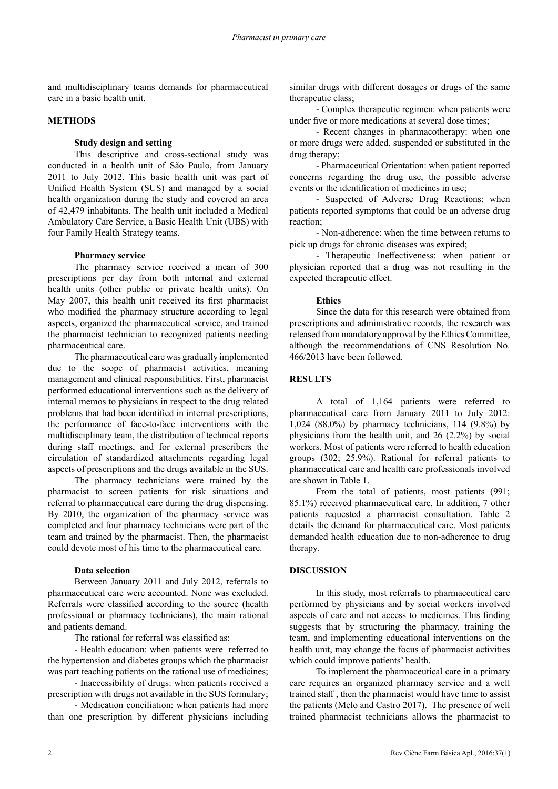and multidisciplinary teams demands for pharmaceutical care in a basic health unit.

# **METHODS**

#### **Study design and setting**

This descriptive and cross-sectional study was conducted in a health unit of São Paulo, from January 2011 to July 2012. This basic health unit was part of Unified Health System (SUS) and managed by a social health organization during the study and covered an area of 42,479 inhabitants. The health unit included a Medical Ambulatory Care Service, a Basic Health Unit (UBS) with four Family Health Strategy teams.

#### **Pharmacy service**

The pharmacy service received a mean of 300 prescriptions per day from both internal and external health units (other public or private health units). On May 2007, this health unit received its first pharmacist who modified the pharmacy structure according to legal aspects, organized the pharmaceutical service, and trained the pharmacist technician to recognized patients needing pharmaceutical care.

The pharmaceutical care was gradually implemented due to the scope of pharmacist activities, meaning management and clinical responsibilities. First, pharmacist performed educational interventions such as the delivery of internal memos to physicians in respect to the drug related problems that had been identified in internal prescriptions, the performance of face-to-face interventions with the multidisciplinary team, the distribution of technical reports during staff meetings, and for external prescribers the circulation of standardized attachments regarding legal aspects of prescriptions and the drugs available in the SUS.

The pharmacy technicians were trained by the pharmacist to screen patients for risk situations and referral to pharmaceutical care during the drug dispensing. By 2010, the organization of the pharmacy service was completed and four pharmacy technicians were part of the team and trained by the pharmacist. Then, the pharmacist could devote most of his time to the pharmaceutical care.

#### **Data selection**

Between January 2011 and July 2012, referrals to pharmaceutical care were accounted. None was excluded. Referrals were classified according to the source (health professional or pharmacy technicians), the main rational and patients demand.

The rational for referral was classified as:

- Health education: when patients were referred to the hypertension and diabetes groups which the pharmacist was part teaching patients on the rational use of medicines;

- Inaccessibility of drugs: when patients received a prescription with drugs not available in the SUS formulary;

- Medication conciliation: when patients had more than one prescription by different physicians including similar drugs with different dosages or drugs of the same therapeutic class;

- Complex therapeutic regimen: when patients were under five or more medications at several dose times;

- Recent changes in pharmacotherapy: when one or more drugs were added, suspended or substituted in the drug therapy;

- Pharmaceutical Orientation: when patient reported concerns regarding the drug use, the possible adverse events or the identification of medicines in use;

- Suspected of Adverse Drug Reactions: when patients reported symptoms that could be an adverse drug reaction;

- Non-adherence: when the time between returns to pick up drugs for chronic diseases was expired;

- Therapeutic Ineffectiveness: when patient or physician reported that a drug was not resulting in the expected therapeutic effect.

#### **Ethics**

Since the data for this research were obtained from prescriptions and administrative records, the research was released from mandatory approval by the Ethics Committee, although the recommendations of CNS Resolution No. 466/2013 have been followed.

# **RESULTS**

A total of 1,164 patients were referred to pharmaceutical care from January 2011 to July 2012: 1,024 (88.0%) by pharmacy technicians, 114 (9.8%) by physicians from the health unit, and 26 (2.2%) by social workers. Most of patients were referred to health education groups (302; 25.9%). Rational for referral patients to pharmaceutical care and health care professionals involved are shown in Table 1.

From the total of patients, most patients (991; 85.1%) received pharmaceutical care. In addition, 7 other patients requested a pharmacist consultation. Table 2 details the demand for pharmaceutical care. Most patients demanded health education due to non-adherence to drug therapy.

# **DISCUSSION**

In this study, most referrals to pharmaceutical care performed by physicians and by social workers involved aspects of care and not access to medicines. This finding suggests that by structuring the pharmacy, training the team, and implementing educational interventions on the health unit, may change the focus of pharmacist activities which could improve patients' health.

To implement the pharmaceutical care in a primary care requires an organized pharmacy service and a well trained staff , then the pharmacist would have time to assist the patients (Melo and Castro 2017). The presence of well trained pharmacist technicians allows the pharmacist to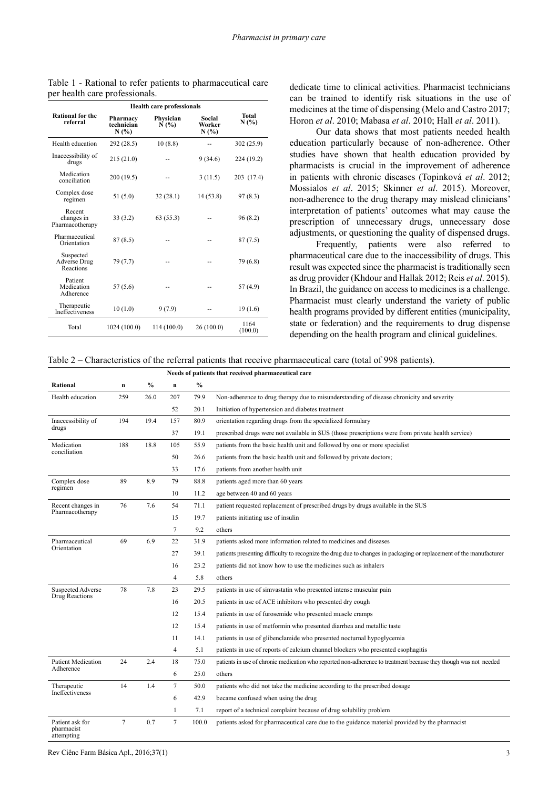|                                               | <b>Health care professionals</b> |                   |                          |                      |
|-----------------------------------------------|----------------------------------|-------------------|--------------------------|----------------------|
| <b>Rational for the</b><br>referral           | Pharmacy<br>technician<br>N(%)   | Physician<br>N(%) | Social<br>Worker<br>N(%) | <b>Total</b><br>N(%) |
| Health education                              | 292 (28.5)                       | 10(8.8)           |                          | 302 (25.9)           |
| Inaccessibility of<br>drugs                   | 215(21.0)                        |                   | 9 (34.6)                 | 224 (19.2)           |
| Medication<br>conciliation                    | 200(19.5)                        |                   | 3(11.5)                  | 203 (17.4)           |
| Complex dose<br>regimen                       | 51(5.0)                          | 32(28.1)          | 14(53.8)                 | 97 (8.3)             |
| Recent<br>changes in<br>Pharmacotherapy       | 33(3.2)                          | 63(55.3)          |                          | 96(8.2)              |
| Pharmaceutical<br>Orientation                 | 87 (8.5)                         |                   |                          | 87 (7.5)             |
| Suspected<br><b>Adverse Drug</b><br>Reactions | 79 (7.7)                         |                   |                          | 79 (6.8)             |
| Patient<br>Medication<br>Adherence            | 57 (5.6)                         |                   |                          | 57 (4.9)             |
| Therapeutic<br><b>Ineffectiveness</b>         | 10(1.0)                          | 9(7.9)            |                          | 19(1.6)              |
| Total                                         | 1024 (100.0)                     | 114 (100.0)       | 26 (100.0)               | 1164<br>(100.0)      |

Table 1 - Rational to refer patients to pharmaceutical care per health care professionals.

dedicate time to clinical activities. Pharmacist technicians can be trained to identify risk situations in the use of medicines at the time of dispensing (Melo and Castro 2017; Horon *et al*. 2010; Mabasa *et al*. 2010; Hall *et al*. 2011).

Our data shows that most patients needed health education particularly because of non-adherence. Other studies have shown that health education provided by pharmacists is crucial in the improvement of adherence in patients with chronic diseases (Topinková *et al*. 2012; Mossialos *et al*. 2015; Skinner *et al*. 2015). Moreover, non-adherence to the drug therapy may mislead clinicians' interpretation of patients' outcomes what may cause the prescription of unnecessary drugs, unnecessary dose adjustments, or questioning the quality of dispensed drugs.

Frequently, patients were also referred to pharmaceutical care due to the inaccessibility of drugs. This result was expected since the pharmacist is traditionally seen as drug provider (Khdour and Hallak 2012; Reis *et al*. 2015). In Brazil, the guidance on access to medicines is a challenge. Pharmacist must clearly understand the variety of public health programs provided by different entities (municipality, state or federation) and the requirements to drug dispense depending on the health program and clinical guidelines.

Table 2 – Characteristics of the referral patients that receive pharmaceutical care (total of 998 patients).

| Needs of patients that received pharmaceutical care |                |      |                 |               |                                                                                                                     |
|-----------------------------------------------------|----------------|------|-----------------|---------------|---------------------------------------------------------------------------------------------------------------------|
| Rational                                            | $\mathbf n$    | $\%$ | $\mathbf n$     | $\frac{0}{0}$ |                                                                                                                     |
| Health education                                    | 259            | 26.0 | 207             | 79.9          | Non-adherence to drug therapy due to misunderstanding of disease chronicity and severity                            |
|                                                     |                |      | 52              | 20.1          | Initiation of hypertension and diabetes treatment                                                                   |
| Inaccessibility of<br>drugs                         | 194            | 19.4 | 157             | 80.9          | orientation regarding drugs from the specialized formulary                                                          |
|                                                     |                |      | 37              | 19.1          | prescribed drugs were not available in SUS (those prescriptions were from private health service)                   |
| Medication<br>conciliation                          | 188            | 18.8 | 105             | 55.9          | patients from the basic health unit and followed by one or more specialist                                          |
|                                                     |                |      | 50              | 26.6          | patients from the basic health unit and followed by private doctors;                                                |
|                                                     |                |      | 33              | 17.6          | patients from another health unit                                                                                   |
| Complex dose<br>regimen                             | 89             | 8.9  | 79              | 88.8          | patients aged more than 60 years                                                                                    |
|                                                     |                |      | 10              | 11.2          | age between 40 and 60 years                                                                                         |
| Recent changes in<br>Pharmacotherapy                | 76             | 7.6  | 54              | 71.1          | patient requested replacement of prescribed drugs by drugs available in the SUS                                     |
|                                                     |                |      | 15              | 19.7          | patients initiating use of insulin                                                                                  |
|                                                     |                |      | $7\phantom{.0}$ | 9.2           | others                                                                                                              |
| Pharmaceutical<br>Orientation                       | 69             | 6.9  | 22              | 31.9          | patients asked more information related to medicines and diseases                                                   |
|                                                     |                |      | 27              | 39.1          | patients presenting difficulty to recognize the drug due to changes in packaging or replacement of the manufacturer |
|                                                     |                |      | 16              | 23.2          | patients did not know how to use the medicines such as inhalers                                                     |
|                                                     |                |      | $\overline{4}$  | 5.8           | others                                                                                                              |
| <b>Suspected Adverse</b><br>Drug Reactions          | 78             | 7.8  | 23              | 29.5          | patients in use of simvastatin who presented intense muscular pain                                                  |
|                                                     |                |      | 16              | 20.5          | patients in use of ACE inhibitors who presented dry cough                                                           |
|                                                     |                |      | 12              | 15.4          | patients in use of furosemide who presented muscle cramps                                                           |
|                                                     |                |      | 12              | 15.4          | patients in use of metformin who presented diarrhea and metallic taste                                              |
|                                                     |                |      | 11              | 14.1          | patients in use of glibenclamide who presented nocturnal hypoglycemia                                               |
|                                                     |                |      | $\overline{4}$  | 5.1           | patients in use of reports of calcium channel blockers who presented esophagitis                                    |
| <b>Patient Medication</b><br>Adherence              | 24             | 2.4  | 18              | 75.0          | patients in use of chronic medication who reported non-adherence to treatment because they though was not needed    |
|                                                     |                |      | 6               | 25.0          | others                                                                                                              |
| Therapeutic<br>Ineffectiveness                      | 14             | 1.4  | $7\phantom{.0}$ | 50.0          | patients who did not take the medicine according to the prescribed dosage                                           |
|                                                     |                |      | 6               | 42.9          | became confused when using the drug                                                                                 |
|                                                     |                |      | $\mathbf{1}$    | 7.1           | report of a technical complaint because of drug solubility problem                                                  |
| Patient ask for<br>pharmacist<br>attempting         | $\overline{7}$ | 0.7  | $\overline{7}$  | 100.0         | patients asked for pharmaceutical care due to the guidance material provided by the pharmacist                      |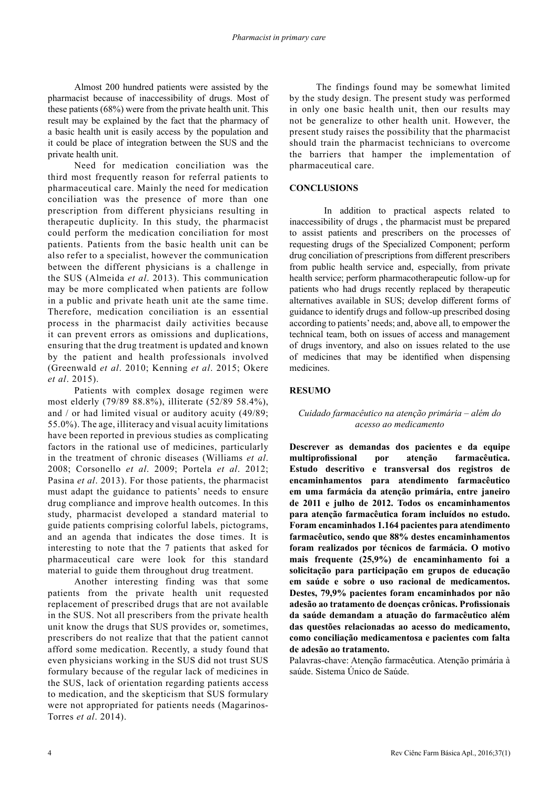Almost 200 hundred patients were assisted by the pharmacist because of inaccessibility of drugs. Most of these patients (68%) were from the private health unit. This result may be explained by the fact that the pharmacy of a basic health unit is easily access by the population and it could be place of integration between the SUS and the private health unit.

Need for medication conciliation was the third most frequently reason for referral patients to pharmaceutical care. Mainly the need for medication conciliation was the presence of more than one prescription from different physicians resulting in therapeutic duplicity. In this study, the pharmacist could perform the medication conciliation for most patients. Patients from the basic health unit can be also refer to a specialist, however the communication between the different physicians is a challenge in the SUS (Almeida *et al*. 2013). This communication may be more complicated when patients are follow in a public and private heath unit ate the same time. Therefore, medication conciliation is an essential process in the pharmacist daily activities because it can prevent errors as omissions and duplications, ensuring that the drug treatment is updated and known by the patient and health professionals involved (Greenwald *et al*. 2010; Kenning *et al*. 2015; Okere *et al*. 2015).

Patients with complex dosage regimen were most elderly (79/89 88.8%), illiterate (52/89 58.4%), and / or had limited visual or auditory acuity (49/89; 55.0%). The age, illiteracy and visual acuity limitations have been reported in previous studies as complicating factors in the rational use of medicines, particularly in the treatment of chronic diseases (Williams *et al*. 2008; Corsonello *et al*. 2009; Portela *et al*. 2012; Pasina *et al*. 2013). For those patients, the pharmacist must adapt the guidance to patients' needs to ensure drug compliance and improve health outcomes. In this study, pharmacist developed a standard material to guide patients comprising colorful labels, pictograms, and an agenda that indicates the dose times. It is interesting to note that the 7 patients that asked for pharmaceutical care were look for this standard material to guide them throughout drug treatment.

Another interesting finding was that some patients from the private health unit requested replacement of prescribed drugs that are not available in the SUS. Not all prescribers from the private health unit know the drugs that SUS provides or, sometimes, prescribers do not realize that that the patient cannot afford some medication. Recently, a study found that even physicians working in the SUS did not trust SUS formulary because of the regular lack of medicines in the SUS, lack of orientation regarding patients access to medication, and the skepticism that SUS formulary were not appropriated for patients needs (Magarinos-Torres *et al*. 2014).

The findings found may be somewhat limited by the study design. The present study was performed in only one basic health unit, then our results may not be generalize to other health unit. However, the present study raises the possibility that the pharmacist should train the pharmacist technicians to overcome the barriers that hamper the implementation of pharmaceutical care.

#### **CONCLUSIONS**

 In addition to practical aspects related to inaccessibility of drugs , the pharmacist must be prepared to assist patients and prescribers on the processes of requesting drugs of the Specialized Component; perform drug conciliation of prescriptions from different prescribers from public health service and, especially, from private health service; perform pharmacotherapeutic follow-up for patients who had drugs recently replaced by therapeutic alternatives available in SUS; develop different forms of guidance to identify drugs and follow-up prescribed dosing according to patients' needs; and, above all, to empower the technical team, both on issues of access and management of drugs inventory, and also on issues related to the use of medicines that may be identified when dispensing medicines.

# **RESUMO**

# *Cuidado farmacêutico na atenção primária – além do acesso ao medicamento*

**Descrever as demandas dos pacientes e da equipe multiprofissional por atenção farmacêutica. Estudo descritivo e transversal dos registros de encaminhamentos para atendimento farmacêutico em uma farmácia da atenção primária, entre janeiro de 2011 e julho de 2012. Todos os encaminhamentos para atenção farmacêutica foram incluídos no estudo. Foram encaminhados 1.164 pacientes para atendimento farmacêutico, sendo que 88% destes encaminhamentos foram realizados por técnicos de farmácia. O motivo mais frequente (25,9%) de encaminhamento foi a solicitação para participação em grupos de educação em saúde e sobre o uso racional de medicamentos. Destes, 79,9% pacientes foram encaminhados por não adesão ao tratamento de doenças crônicas. Profissionais da saúde demandam a atuação do farmacêutico além das questões relacionadas ao acesso do medicamento, como conciliação medicamentosa e pacientes com falta de adesão ao tratamento.**

Palavras-chave: Atenção farmacêutica. Atenção primária à saúde. Sistema Único de Saúde.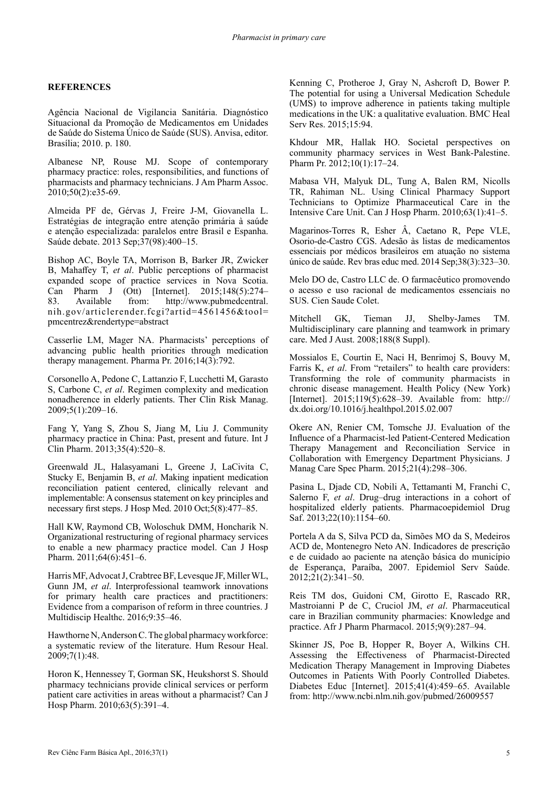# **REFERENCES**

Agência Nacional de Vigilancia Sanitária. Diagnóstico Situacional da Promoção de Medicamentos em Unidades de Saúde do Sistema Único de Saúde (SUS). Anvisa, editor. Brasília; 2010. p. 180.

Albanese NP, Rouse MJ. Scope of contemporary pharmacy practice: roles, responsibilities, and functions of pharmacists and pharmacy technicians. J Am Pharm Assoc. 2010;50(2):e35-69.

Almeida PF de, Gérvas J, Freire J-M, Giovanella L. Estratégias de integração entre atenção primária à saúde e atenção especializada: paralelos entre Brasil e Espanha. Saúde debate. 2013 Sep;37(98):400–15.

Bishop AC, Boyle TA, Morrison B, Barker JR, Zwicker B, Mahaffey T, *et al*. Public perceptions of pharmacist expanded scope of practice services in Nova Scotia. Can Pharm J (Ott) [Internet]. 2015;148(5):274– 83. Available from: http://www.pubmedcentral. nih.gov/articlerender.fcgi?artid=4561456&tool= pmcentrez&rendertype=abstract

Casserlie LM, Mager NA. Pharmacists' perceptions of advancing public health priorities through medication therapy management. Pharma Pr. 2016;14(3):792.

Corsonello A, Pedone C, Lattanzio F, Lucchetti M, Garasto S, Carbone C, *et al*. Regimen complexity and medication nonadherence in elderly patients. Ther Clin Risk Manag. 2009;5(1):209–16.

Fang Y, Yang S, Zhou S, Jiang M, Liu J. Community pharmacy practice in China: Past, present and future. Int J Clin Pharm. 2013;35(4):520–8.

Greenwald JL, Halasyamani L, Greene J, LaCivita C, Stucky E, Benjamin B, *et al*. Making inpatient medication reconciliation patient centered, clinically relevant and implementable: A consensus statement on key principles and necessary first steps. J Hosp Med. 2010 Oct;5(8):477–85.

Hall KW, Raymond CB, Woloschuk DMM, Honcharik N. Organizational restructuring of regional pharmacy services to enable a new pharmacy practice model. Can J Hosp Pharm. 2011;64(6):451-6.

Harris MF, Advocat J, Crabtree BF, Levesque JF, Miller WL, Gunn JM, *et al*. Interprofessional teamwork innovations for primary health care practices and practitioners: Evidence from a comparison of reform in three countries. J Multidiscip Healthc. 2016;9:35–46.

Hawthorne N, Anderson C. The global pharmacy workforce: a systematic review of the literature. Hum Resour Heal. 2009;7(1):48.

Horon K, Hennessey T, Gorman SK, Heukshorst S. Should pharmacy technicians provide clinical services or perform patient care activities in areas without a pharmacist? Can J Hosp Pharm. 2010;63(5):391–4.

Kenning C, Protheroe J, Gray N, Ashcroft D, Bower P. The potential for using a Universal Medication Schedule (UMS) to improve adherence in patients taking multiple medications in the UK: a qualitative evaluation. BMC Heal Serv Res. 2015;15:94.

Khdour MR, Hallak HO. Societal perspectives on community pharmacy services in West Bank-Palestine. Pharm Pr. 2012;10(1):17–24.

Mabasa VH, Malyuk DL, Tung A, Balen RM, Nicolls TR, Rahiman NL. Using Clinical Pharmacy Support Technicians to Optimize Pharmaceutical Care in the Intensive Care Unit. Can J Hosp Pharm. 2010;63(1):41–5.

Magarinos-Torres R, Esher Â, Caetano R, Pepe VLE, Osorio-de-Castro CGS. Adesão às listas de medicamentos essenciais por médicos brasileiros em atuação no sistema único de saúde. Rev bras educ med. 2014 Sep;38(3):323–30.

Melo DO de, Castro LLC de. O farmacêutico promovendo o acesso e uso racional de medicamentos essenciais no SUS. Cien Saude Colet.

Mitchell GK, Tieman JJ, Shelby-James TM. Multidisciplinary care planning and teamwork in primary care. Med J Aust. 2008;188(8 Suppl).

Mossialos E, Courtin E, Naci H, Benrimoj S, Bouvy M, Farris K, *et al*. From "retailers" to health care providers: Transforming the role of community pharmacists in chronic disease management. Health Policy (New York) [Internet]. 2015;119(5):628–39. Available from: http:// dx.doi.org/10.1016/j.healthpol.2015.02.007

Okere AN, Renier CM, Tomsche JJ. Evaluation of the Influence of a Pharmacist-led Patient-Centered Medication Therapy Management and Reconciliation Service in Collaboration with Emergency Department Physicians. J Manag Care Spec Pharm. 2015;21(4):298–306.

Pasina L, Djade CD, Nobili A, Tettamanti M, Franchi C, Salerno F, *et al*. Drug–drug interactions in a cohort of hospitalized elderly patients. Pharmacoepidemiol Drug Saf. 2013;22(10):1154–60.

Portela A da S, Silva PCD da, Simões MO da S, Medeiros ACD de, Montenegro Neto AN. Indicadores de prescrição e de cuidado ao paciente na atenção básica do município de Esperança, Paraíba, 2007. Epidemiol Serv Saúde. 2012;21(2):341–50.

Reis TM dos, Guidoni CM, Girotto E, Rascado RR, Mastroianni P de C, Cruciol JM, *et al*. Pharmaceutical care in Brazilian community pharmacies: Knowledge and practice. Afr J Pharm Pharmacol. 2015;9(9):287–94.

Skinner JS, Poe B, Hopper R, Boyer A, Wilkins CH. Assessing the Effectiveness of Pharmacist-Directed Medication Therapy Management in Improving Diabetes Outcomes in Patients With Poorly Controlled Diabetes. Diabetes Educ [Internet]. 2015;41(4):459–65. Available from: http://www.ncbi.nlm.nih.gov/pubmed/26009557